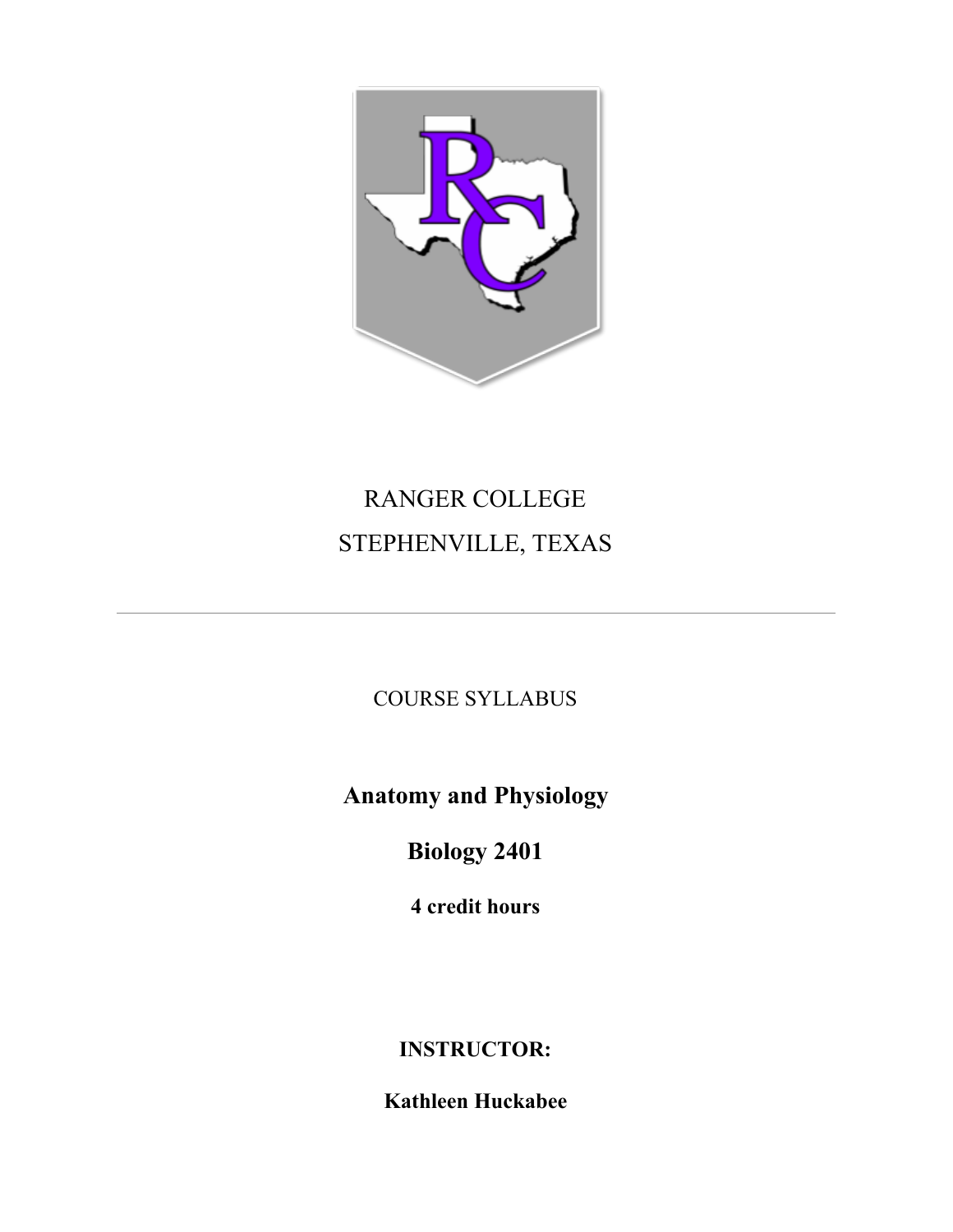

# RANGER COLLEGE STEPHENVILLE, TEXAS

COURSE SYLLABUS

**Anatomy and Physiology**

**Biology 2401**

**4 credit hours**

**INSTRUCTOR:**

**Kathleen Huckabee**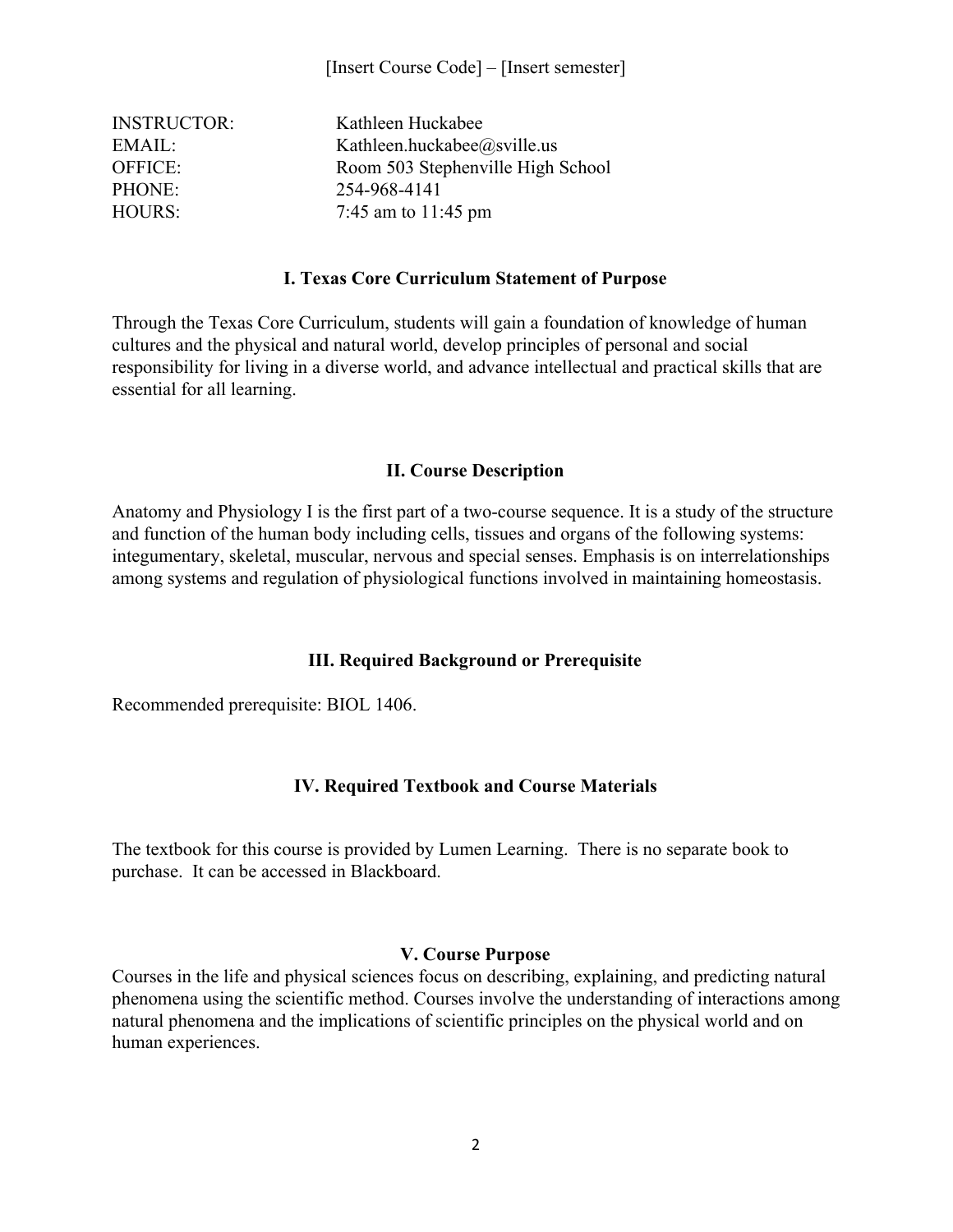| <b>INSTRUCTOR:</b> | Kathleen Huckabee                 |
|--------------------|-----------------------------------|
| EMAIL:             | Kathleen.huckabee@sville.us       |
| <b>OFFICE:</b>     | Room 503 Stephenville High School |
| PHONE:             | 254-968-4141                      |
| <b>HOURS:</b>      | 7:45 am to $11:45$ pm             |

#### **I. Texas Core Curriculum Statement of Purpose**

Through the Texas Core Curriculum, students will gain a foundation of knowledge of human cultures and the physical and natural world, develop principles of personal and social responsibility for living in a diverse world, and advance intellectual and practical skills that are essential for all learning.

# **II. Course Description**

Anatomy and Physiology I is the first part of a two-course sequence. It is a study of the structure and function of the human body including cells, tissues and organs of the following systems: integumentary, skeletal, muscular, nervous and special senses. Emphasis is on interrelationships among systems and regulation of physiological functions involved in maintaining homeostasis.

# **III. Required Background or Prerequisite**

Recommended prerequisite: BIOL 1406.

# **IV. Required Textbook and Course Materials**

The textbook for this course is provided by Lumen Learning. There is no separate book to purchase. It can be accessed in Blackboard.

# **V. Course Purpose**

Courses in the life and physical sciences focus on describing, explaining, and predicting natural phenomena using the scientific method. Courses involve the understanding of interactions among natural phenomena and the implications of scientific principles on the physical world and on human experiences.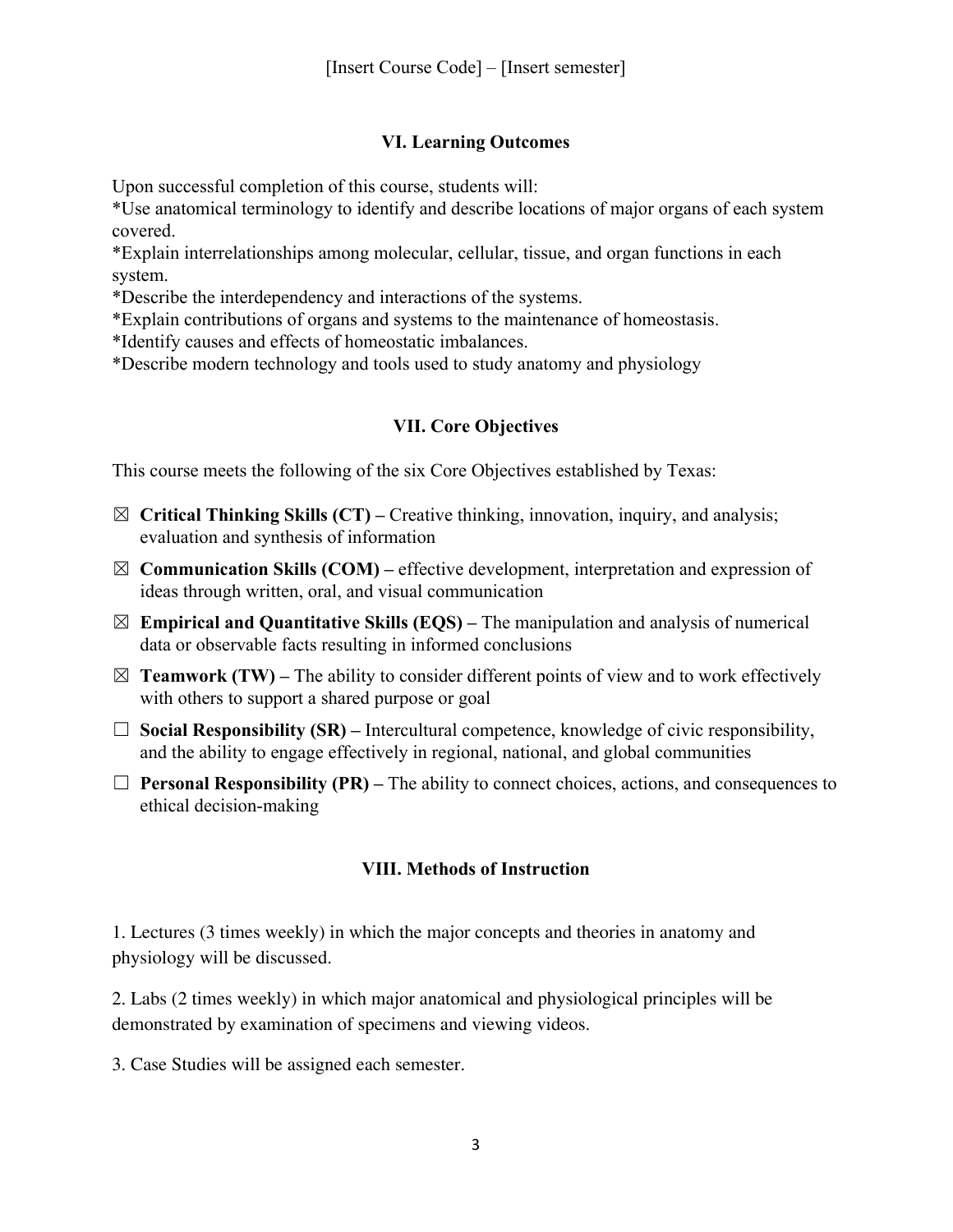# **VI. Learning Outcomes**

Upon successful completion of this course, students will:

\*Use anatomical terminology to identify and describe locations of major organs of each system covered.

\*Explain interrelationships among molecular, cellular, tissue, and organ functions in each system.

\*Describe the interdependency and interactions of the systems.

\*Explain contributions of organs and systems to the maintenance of homeostasis.

\*Identify causes and effects of homeostatic imbalances.

\*Describe modern technology and tools used to study anatomy and physiology

# **VII. Core Objectives**

This course meets the following of the six Core Objectives established by Texas:

- $\boxtimes$  **Critical Thinking Skills (CT)** Creative thinking, innovation, inquiry, and analysis; evaluation and synthesis of information
- $\boxtimes$  **Communication Skills (COM)** effective development, interpretation and expression of ideas through written, oral, and visual communication
- $\boxtimes$  **Empirical and Quantitative Skills (EQS)** The manipulation and analysis of numerical data or observable facts resulting in informed conclusions
- $\boxtimes$  **Teamwork (TW)** The ability to consider different points of view and to work effectively with others to support a shared purpose or goal
- $\Box$  **Social Responsibility (SR)** Intercultural competence, knowledge of civic responsibility, and the ability to engage effectively in regional, national, and global communities
- $\Box$  **Personal Responsibility (PR)** The ability to connect choices, actions, and consequences to ethical decision-making

# **VIII. Methods of Instruction**

1. Lectures (3 times weekly) in which the major concepts and theories in anatomy and physiology will be discussed.

2. Labs (2 times weekly) in which major anatomical and physiological principles will be demonstrated by examination of specimens and viewing videos.

3. Case Studies will be assigned each semester.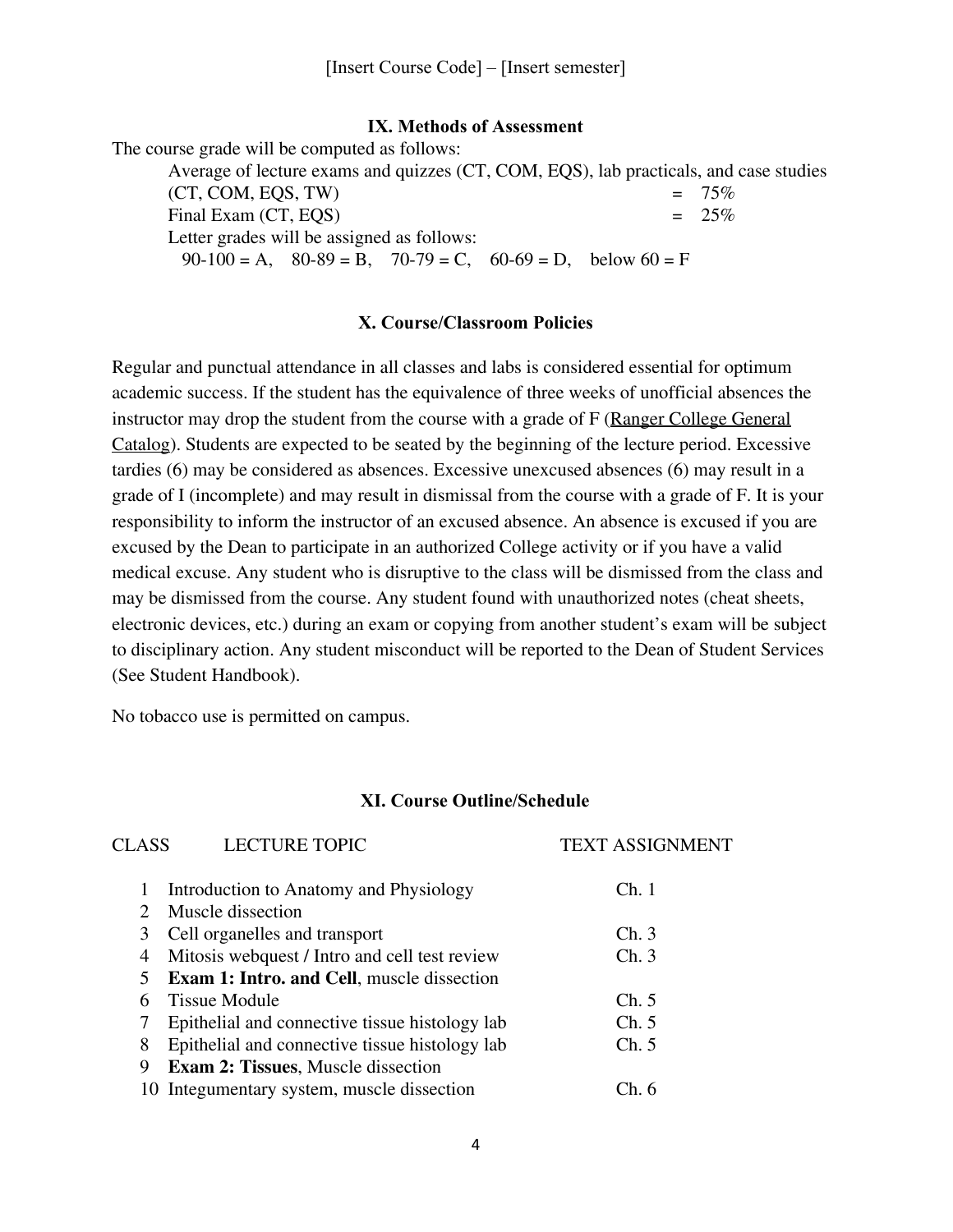### **IX. Methods of Assessment**

The course grade will be computed as follows:

Average of lecture exams and quizzes (CT, COM, EQS), lab practicals, and case studies (CT, COM, EQS, TW)  $= 75\%$ <br>Final Exam (CT, EOS)  $= 25\%$ Final Exam (CT, EQS) Letter grades will be assigned as follows:  $90-100 = A$ ,  $80-89 = B$ ,  $70-79 = C$ ,  $60-69 = D$ , below  $60 = F$ 

#### **X. Course/Classroom Policies**

Regular and punctual attendance in all classes and labs is considered essential for optimum academic success. If the student has the equivalence of three weeks of unofficial absences the instructor may drop the student from the course with a grade of F (Ranger College General Catalog). Students are expected to be seated by the beginning of the lecture period. Excessive tardies (6) may be considered as absences. Excessive unexcused absences (6) may result in a grade of I (incomplete) and may result in dismissal from the course with a grade of F. It is your responsibility to inform the instructor of an excused absence. An absence is excused if you are excused by the Dean to participate in an authorized College activity or if you have a valid medical excuse. Any student who is disruptive to the class will be dismissed from the class and may be dismissed from the course. Any student found with unauthorized notes (cheat sheets, electronic devices, etc.) during an exam or copying from another student's exam will be subject to disciplinary action. Any student misconduct will be reported to the Dean of Student Services (See Student Handbook).

No tobacco use is permitted on campus.

#### **XI. Course Outline/Schedule**

| CLASS                       | <b>LECTURE TOPIC</b>                              | <b>TEXT ASSIGNMENT</b> |
|-----------------------------|---------------------------------------------------|------------------------|
| 1                           | Introduction to Anatomy and Physiology            | Ch.1                   |
| $\mathcal{D}_{\mathcal{L}}$ | Muscle dissection                                 |                        |
| 3                           | Cell organelles and transport                     | Ch.3                   |
| 4                           | Mitosis webquest / Intro and cell test review     | Ch.3                   |
| 5                           | <b>Exam 1: Intro. and Cell, muscle dissection</b> |                        |
| 6                           | <b>Tissue Module</b>                              | Ch. 5                  |
|                             | Epithelial and connective tissue histology lab    | Ch. 5                  |
| 8                           | Epithelial and connective tissue histology lab    | Ch. 5                  |
| 9                           | <b>Exam 2: Tissues, Muscle dissection</b>         |                        |
|                             | 10 Integumentary system, muscle dissection        | Ch. 6                  |
|                             |                                                   |                        |